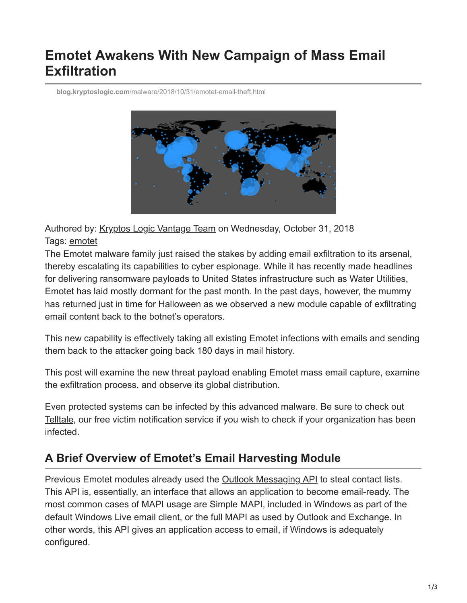# **Emotet Awakens With New Campaign of Mass Email Exfiltration**

**blog.kryptoslogic.com**[/malware/2018/10/31/emotet-email-theft.html](https://blog.kryptoslogic.com/malware/2018/10/31/emotet-email-theft.html)



Authored by: [Kryptos Logic Vantage Team](https://twitter.com/kryptoslogic) on Wednesday, October 31, 2018 Tags: [emotet](https://www.kryptoslogic.com/blog/tag/emotet)

The Emotet malware family just raised the stakes by adding email exfiltration to its arsenal, thereby escalating its capabilities to cyber espionage. While it has recently made headlines for delivering ransomware payloads to United States infrastructure such as Water Utilities, Emotet has laid mostly dormant for the past month. In the past days, however, the mummy has returned just in time for Halloween as we observed a new module capable of exfiltrating email content back to the botnet's operators.

This new capability is effectively taking all existing Emotet infections with emails and sending them back to the attacker going back 180 days in mail history.

This post will examine the new threat payload enabling Emotet mass email capture, examine the exfiltration process, and observe its global distribution.

Even protected systems can be infected by this advanced malware. Be sure to check out [Telltale](https://telltale.kryptoslogic.com/), our free victim notification service if you wish to check if your organization has been infected.

## **A Brief Overview of Emotet's Email Harvesting Module**

Previous Emotet modules already used the [Outlook Messaging API](https://docs.microsoft.com/en-us/office/client-developer/outlook/mapi/outlook-mapi-reference) to steal contact lists. This API is, essentially, an interface that allows an application to become email-ready. The most common cases of MAPI usage are Simple MAPI, included in Windows as part of the default Windows Live email client, or the full MAPI as used by Outlook and Exchange. In other words, this API gives an application access to email, if Windows is adequately configured.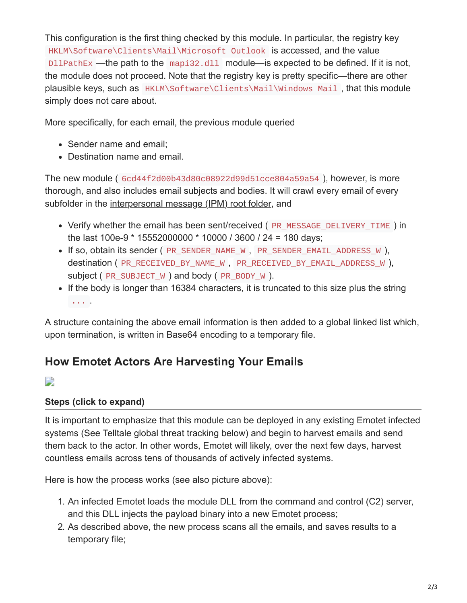This configuration is the first thing checked by this module. In particular, the registry key HKLM\Software\Clients\Mail\Microsoft Outlook is accessed, and the value DllPathEx —the path to the mapi32.dll module—is expected to be defined. If it is not, the module does not proceed. Note that the registry key is pretty specific—there are other plausible keys, such as HKLM\Software\Clients\Mail\Windows Mail , that this module simply does not care about.

More specifically, for each email, the previous module queried

- Sender name and email:
- Destination name and email.

The new module ( 6cd44f2d00b43d80c08922d99d51cce804a59a54 ), however, is more thorough, and also includes email subjects and bodies. It will crawl every email of every subfolder in the [interpersonal message \(IPM\) root folder,](https://docs.microsoft.com/en-us/office/client-developer/outlook/mapi/ipm-subtree) and

- Verify whether the email has been sent/received (PR\_MESSAGE\_DELIVERY\_TIME) in the last 100e-9 \* 15552000000 \* 10000 / 3600 / 24 = 180 days;
- If so, obtain its sender ( PR\_SENDER\_NAME\_W, PR\_SENDER\_EMAIL\_ADDRESS\_W), destination ( PR\_RECEIVED\_BY\_NAME\_W , PR\_RECEIVED\_BY\_EMAIL\_ADDRESS\_W ), subject ( PR\_SUBJECT\_W ) and body ( PR\_BODY\_W ).
- If the body is longer than 16384 characters, it is truncated to this size plus the string ... .

A structure containing the above email information is then added to a global linked list which, upon termination, is written in Base64 encoding to a temporary file.

# **How Emotet Actors Are Harvesting Your Emails**

D

#### **Steps (click to expand)**

It is important to emphasize that this module can be deployed in any existing Emotet infected systems (See Telltale global threat tracking below) and begin to harvest emails and send them back to the actor. In other words, Emotet will likely, over the next few days, harvest countless emails across tens of thousands of actively infected systems.

Here is how the process works (see also picture above):

- 1. An infected Emotet loads the module DLL from the command and control (C2) server, and this DLL injects the payload binary into a new Emotet process;
- 2. As described above, the new process scans all the emails, and saves results to a temporary file;